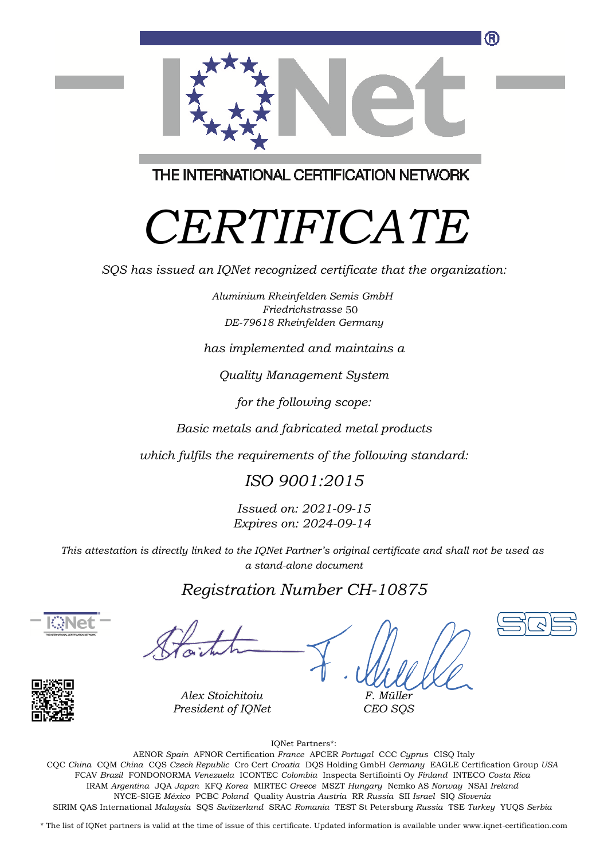

THE INTERNATIONAL CERTIFICATION NETWORK

# *CERTIFICATE*

*SQS has issued an IQNet recognized certificate that the organization:*

*Aluminium Rheinfelden Semis GmbH Friedrichstrasse* 50*DE-79618 Rheinfelden Germany*

*has implemented and maintains a*

*Quality Management System*

*for the following scope:*

*Basic metals and fabricated metal products*

*which fulfils the requirements of the following standard:*

*ISO 9001:2015*

*Issued on: 2021-09-15 Expires on: 2024-09-14*

*This attestation is directly linked to the IQNet Partner's original certificate and shall not be used as a stand-alone document*

### *Registration Number CH-10875*





*Alex Stoichitoiu President of IQNet*

*F. Müller CEO SQS*

IQNet Partners\*:

This annex is only valid in connection with the above-mentioned certificate. FCAV *Brazil* FONDONORMA *Venezuela* ICONTEC *Colombia* Inspecta Sertifiointi Oy *Finland* INTECO *Costa Rica* AENOR *Spain* AFNOR Certification *France* APCER *Portugal* CCC *Cyprus* CISQ Italy CQC *China* CQM *China* CQS *Czech Republic* Cro Cert *Croatia* DQS Holding GmbH *Germany* EAGLE Certification Group *USA* IRAM *Argentina* JQA *Japan* KFQ *Korea* MIRTEC *Greece* MSZT *Hungary* Nemko AS *Norway* NSAI *Ireland* NYCE-SIGE *México* PCBC *Poland* Quality Austria *Austria* RR *Russia* SII *Israel* SIQ *Slovenia* SIRIM QAS International *Malaysia* SQS *Switzerland* SRAC *Romania* TEST St Petersburg *Russia* TSE *Turkey* YUQS *Serbia*

\* The list of IQNet partners is valid at the time of issue of this certificate. Updated information is available under www.iqnet-certification.com